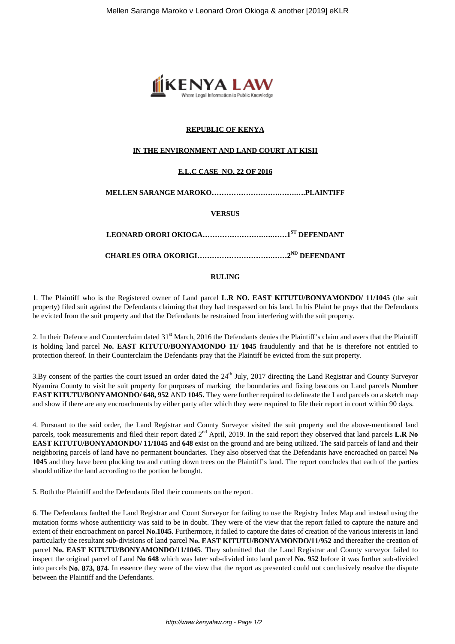

## **REPUBLIC OF KENYA**

## **IN THE ENVIRONMENT AND LAND COURT AT KISII**

## **E.L.C CASE NO. 22 OF 2016**

### **MELLEN SARANGE MAROKO……………………….…….….PLAINTIFF**

### **VERSUS**

**LEONARD ORORI OKIOGA…………………….….……1ST DEFENDANT**

**CHARLES OIRA OKORIGI………………………….……2ND DEFENDANT**

#### **RULING**

1. The Plaintiff who is the Registered owner of Land parcel **L.R NO. EAST KITUTU/BONYAMONDO/ 11/1045** (the suit property) filed suit against the Defendants claiming that they had trespassed on his land. In his Plaint he prays that the Defendants be evicted from the suit property and that the Defendants be restrained from interfering with the suit property.

2. In their Defence and Counterclaim dated 31<sup>st</sup> March, 2016 the Defendants denies the Plaintiff's claim and avers that the Plaintiff is holding land parcel **No. EAST KITUTU/BONYAMONDO 11/ 1045** fraudulently and that he is therefore not entitled to protection thereof. In their Counterclaim the Defendants pray that the Plaintiff be evicted from the suit property.

3.By consent of the parties the court issued an order dated the 24<sup>th</sup> July, 2017 directing the Land Registrar and County Surveyor Nyamira County to visit he suit property for purposes of marking the boundaries and fixing beacons on Land parcels **Number EAST KITUTU/BONYAMONDO/ 648, 952** AND **1045.** They were further required to delineate the Land parcels on a sketch map and show if there are any encroachments by either party after which they were required to file their report in court within 90 days.

4. Pursuant to the said order, the Land Registrar and County Surveyor visited the suit property and the above-mentioned land parcels, took measurements and filed their report dated 2<sup>nd</sup> April, 2019. In the said report they observed that land parcels **L.R No EAST KITUTU/BONYAMONDO/ 11/1045** and **648** exist on the ground and are being utilized. The said parcels of land and their neighboring parcels of land have no permanent boundaries. They also observed that the Defendants have encroached on parcel **No 1045** and they have been plucking tea and cutting down trees on the Plaintiff's land. The report concludes that each of the parties should utilize the land according to the portion he bought.

5. Both the Plaintiff and the Defendants filed their comments on the report.

6. The Defendants faulted the Land Registrar and Count Surveyor for failing to use the Registry Index Map and instead using the mutation forms whose authenticity was said to be in doubt. They were of the view that the report failed to capture the nature and extent of their encroachment on parcel **No.1045**. Furthermore, it failed to capture the dates of creation of the various interests in land particularly the resultant sub-divisions of land parcel **No. EAST KITUTU/BONYAMONDO/11/952** and thereafter the creation of parcel **No. EAST KITUTU/BONYAMONDO/11/1045**. They submitted that the Land Registrar and County surveyor failed to inspect the original parcel of Land **No 648** which was later sub-divided into land parcel **No. 952** before it was further sub-divided into parcels **No. 873, 874**. In essence they were of the view that the report as presented could not conclusively resolve the dispute between the Plaintiff and the Defendants.